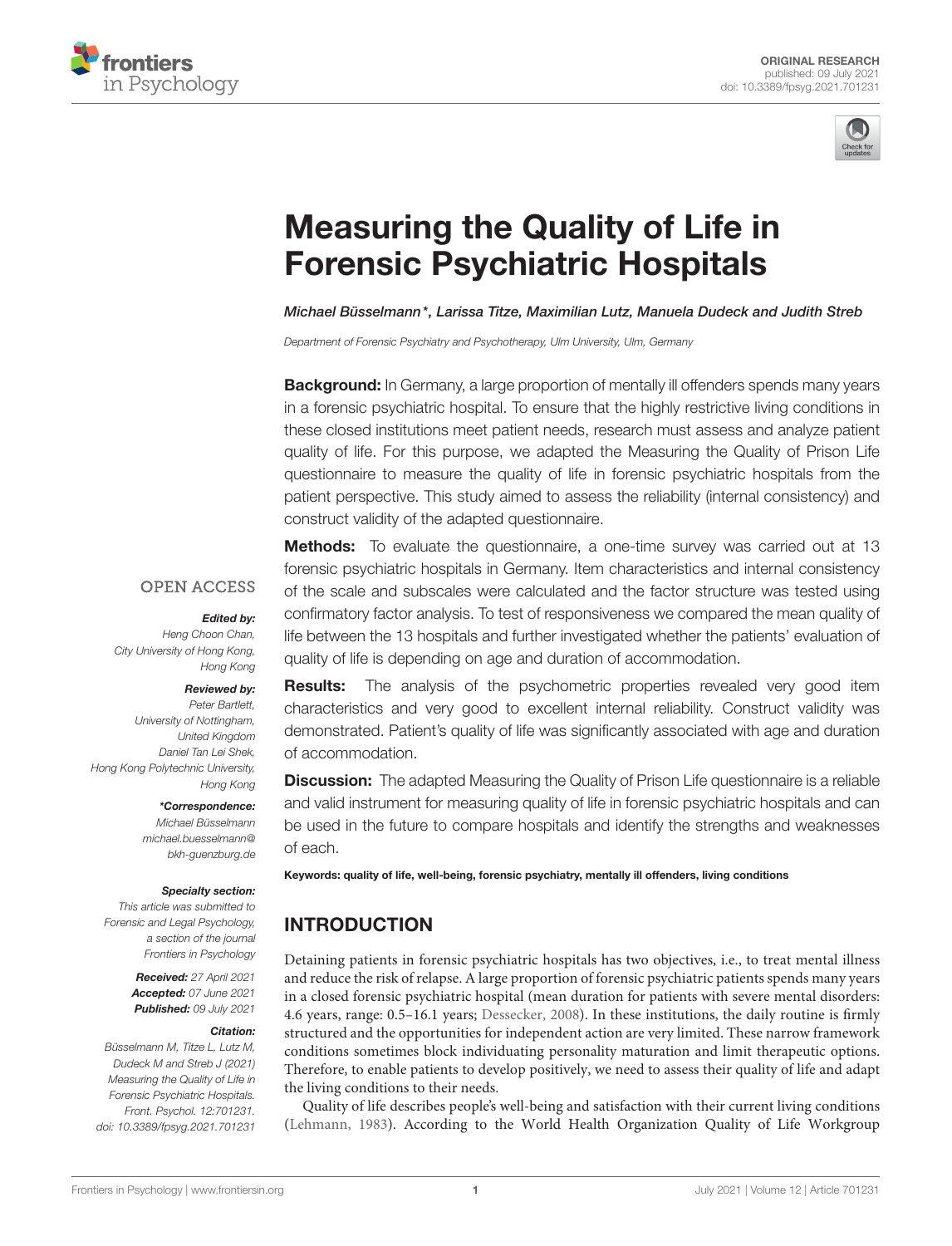



# [Measuring the Quality of Life in](https://www.frontiersin.org/articles/10.3389/fpsyg.2021.701231/full) Forensic Psychiatric Hospitals

Michael Büsselmann\*, Larissa Titze, Maximilian Lutz, Manuela Dudeck and Judith Streb

Department of Forensic Psychiatry and Psychotherapy, Ulm University, Ulm, Germany

**Background:** In Germany, a large proportion of mentally ill offenders spends many years in a forensic psychiatric hospital. To ensure that the highly restrictive living conditions in these closed institutions meet patient needs, research must assess and analyze patient quality of life. For this purpose, we adapted the Measuring the Quality of Prison Life questionnaire to measure the quality of life in forensic psychiatric hospitals from the patient perspective. This study aimed to assess the reliability (internal consistency) and construct validity of the adapted questionnaire.

#### **OPEN ACCESS**

#### Edited by:

Heng Choon Chan, City University of Hong Kong, Hong Kong

#### Reviewed by:

Peter Bartlett, University of Nottingham, United Kingdom Daniel Tan Lei Shek, Hong Kong Polytechnic University, Hong Kong

\*Correspondence:

Michael Büsselmann [michael.buesselmann@](mailto:michael.buesselmann@bkh-guenzburg.de) [bkh-guenzburg.de](mailto:michael.buesselmann@bkh-guenzburg.de)

#### Specialty section:

This article was submitted to Forensic and Legal Psychology, a section of the journal Frontiers in Psychology

> Received: 27 April 2021 Accepted: 07 June 2021 Published: 09 July 2021

#### Citation:

Büsselmann M, Titze L, Lutz M, Dudeck M and Streb J (2021) Measuring the Quality of Life in Forensic Psychiatric Hospitals. Front. Psychol. 12:701231. doi: [10.3389/fpsyg.2021.701231](https://doi.org/10.3389/fpsyg.2021.701231)

**Methods:** To evaluate the questionnaire, a one-time survey was carried out at 13 forensic psychiatric hospitals in Germany. Item characteristics and internal consistency of the scale and subscales were calculated and the factor structure was tested using confirmatory factor analysis. To test of responsiveness we compared the mean quality of life between the 13 hospitals and further investigated whether the patients' evaluation of quality of life is depending on age and duration of accommodation.

**Results:** The analysis of the psychometric properties revealed very good item characteristics and very good to excellent internal reliability. Construct validity was demonstrated. Patient's quality of life was significantly associated with age and duration of accommodation.

**Discussion:** The adapted Measuring the Quality of Prison Life questionnaire is a reliable and valid instrument for measuring quality of life in forensic psychiatric hospitals and can be used in the future to compare hospitals and identify the strengths and weaknesses of each.

Keywords: quality of life, well-being, forensic psychiatry, mentally ill offenders, living conditions

# INTRODUCTION

Detaining patients in forensic psychiatric hospitals has two objectives, i.e., to treat mental illness and reduce the risk of relapse. A large proportion of forensic psychiatric patients spends many years in a closed forensic psychiatric hospital (mean duration for patients with severe mental disorders: 4.6 years, range: 0.5–16.1 years; [Dessecker, 2008\)](#page-6-0). In these institutions, the daily routine is firmly structured and the opportunities for independent action are very limited. These narrow framework conditions sometimes block individuating personality maturation and limit therapeutic options. Therefore, to enable patients to develop positively, we need to assess their quality of life and adapt the living conditions to their needs.

Quality of life describes people's well-being and satisfaction with their current living conditions [\(Lehmann, 1983\)](#page-6-1). According to the World Health Organization Quality of Life Workgroup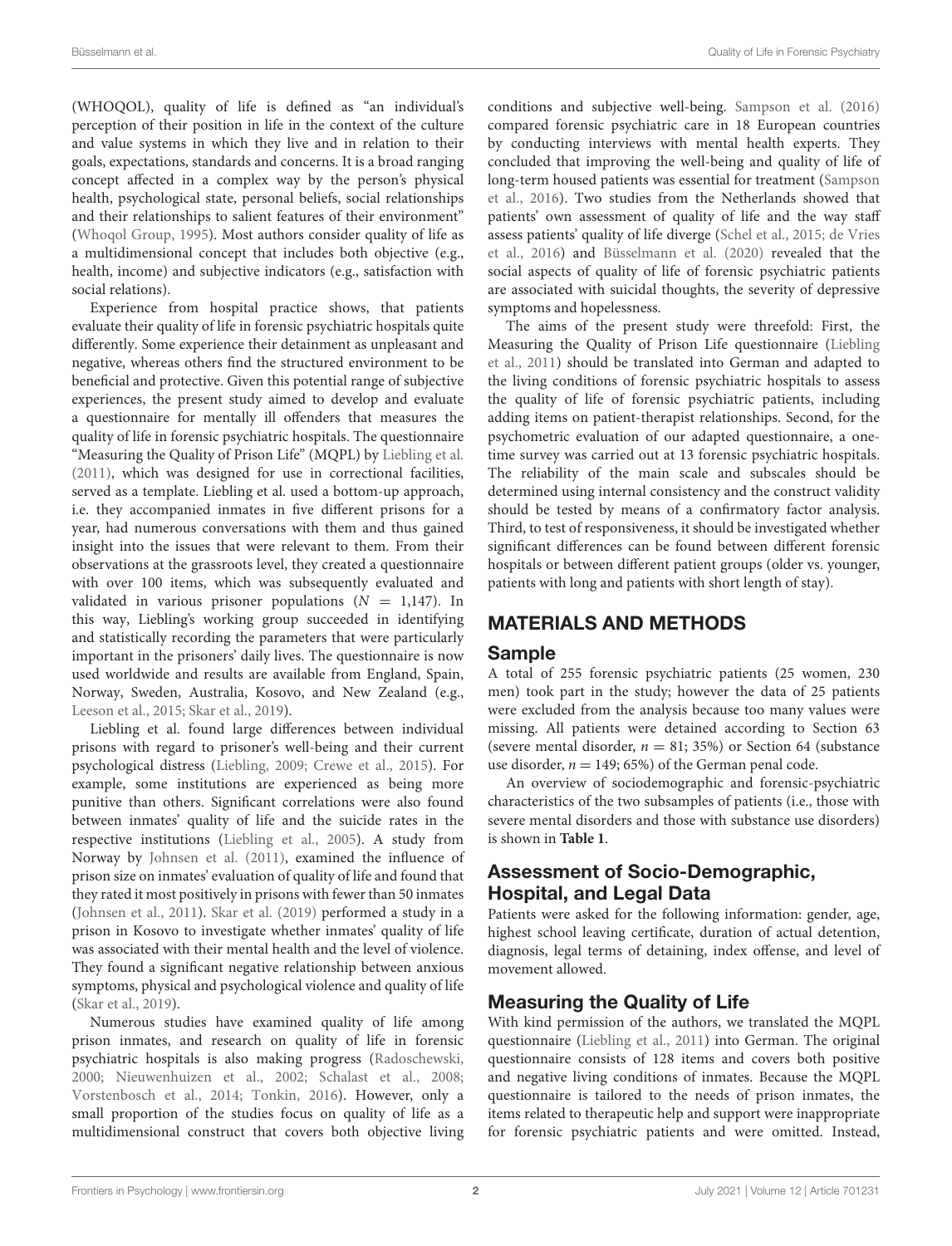(WHOQOL), quality of life is defined as "an individual's perception of their position in life in the context of the culture and value systems in which they live and in relation to their goals, expectations, standards and concerns. It is a broad ranging concept affected in a complex way by the person's physical health, psychological state, personal beliefs, social relationships and their relationships to salient features of their environment" [\(Whoqol Group, 1995\)](#page-7-0). Most authors consider quality of life as a multidimensional concept that includes both objective (e.g., health, income) and subjective indicators (e.g., satisfaction with social relations).

Experience from hospital practice shows, that patients evaluate their quality of life in forensic psychiatric hospitals quite differently. Some experience their detainment as unpleasant and negative, whereas others find the structured environment to be beneficial and protective. Given this potential range of subjective experiences, the present study aimed to develop and evaluate a questionnaire for mentally ill offenders that measures the quality of life in forensic psychiatric hospitals. The questionnaire "Measuring the Quality of Prison Life" (MQPL) by [Liebling et al.](#page-6-2) [\(2011\)](#page-6-2), which was designed for use in correctional facilities, served as a template. Liebling et al. used a bottom-up approach, i.e. they accompanied inmates in five different prisons for a year, had numerous conversations with them and thus gained insight into the issues that were relevant to them. From their observations at the grassroots level, they created a questionnaire with over 100 items, which was subsequently evaluated and validated in various prisoner populations  $(N = 1,147)$ . In this way, Liebling's working group succeeded in identifying and statistically recording the parameters that were particularly important in the prisoners' daily lives. The questionnaire is now used worldwide and results are available from England, Spain, Norway, Sweden, Australia, Kosovo, and New Zealand (e.g., [Leeson et al., 2015;](#page-6-3) [Skar et al., 2019\)](#page-6-4).

Liebling et al. found large differences between individual prisons with regard to prisoner's well-being and their current psychological distress [\(Liebling, 2009;](#page-6-5) [Crewe et al., 2015\)](#page-6-6). For example, some institutions are experienced as being more punitive than others. Significant correlations were also found between inmates' quality of life and the suicide rates in the respective institutions [\(Liebling et al., 2005\)](#page-6-7). A study from Norway by [Johnsen et al. \(2011\)](#page-6-8), examined the influence of prison size on inmates' evaluation of quality of life and found that they rated it most positively in prisons with fewer than 50 inmates [\(Johnsen et al., 2011\)](#page-6-8). [Skar et al. \(2019\)](#page-6-4) performed a study in a prison in Kosovo to investigate whether inmates' quality of life was associated with their mental health and the level of violence. They found a significant negative relationship between anxious symptoms, physical and psychological violence and quality of life [\(Skar et al., 2019\)](#page-6-4).

Numerous studies have examined quality of life among prison inmates, and research on quality of life in forensic psychiatric hospitals is also making progress [\(Radoschewski,](#page-6-9) [2000;](#page-6-9) [Nieuwenhuizen et al., 2002;](#page-6-10) [Schalast et al., 2008;](#page-6-11) [Vorstenbosch et al., 2014;](#page-7-1) [Tonkin, 2016\)](#page-7-2). However, only a small proportion of the studies focus on quality of life as a multidimensional construct that covers both objective living conditions and subjective well-being. [Sampson et al. \(2016\)](#page-6-12) compared forensic psychiatric care in 18 European countries by conducting interviews with mental health experts. They concluded that improving the well-being and quality of life of long-term housed patients was essential for treatment (Sampson et al., [2016\)](#page-6-12). Two studies from the Netherlands showed that patients' own assessment of quality of life and the way staff assess patients' quality of life diverge [\(Schel et al., 2015;](#page-6-13) de Vries et al., [2016\)](#page-6-14) and [Büsselmann et al. \(2020\)](#page-6-15) revealed that the social aspects of quality of life of forensic psychiatric patients are associated with suicidal thoughts, the severity of depressive symptoms and hopelessness.

The aims of the present study were threefold: First, the Measuring the Quality of Prison Life questionnaire (Liebling et al., [2011\)](#page-6-2) should be translated into German and adapted to the living conditions of forensic psychiatric hospitals to assess the quality of life of forensic psychiatric patients, including adding items on patient-therapist relationships. Second, for the psychometric evaluation of our adapted questionnaire, a onetime survey was carried out at 13 forensic psychiatric hospitals. The reliability of the main scale and subscales should be determined using internal consistency and the construct validity should be tested by means of a confirmatory factor analysis. Third, to test of responsiveness, it should be investigated whether significant differences can be found between different forensic hospitals or between different patient groups (older vs. younger, patients with long and patients with short length of stay).

# MATERIALS AND METHODS

#### Sample

A total of 255 forensic psychiatric patients (25 women, 230 men) took part in the study; however the data of 25 patients were excluded from the analysis because too many values were missing. All patients were detained according to Section 63 (severe mental disorder,  $n = 81$ ; 35%) or Section 64 (substance use disorder,  $n = 149$ ; 65%) of the German penal code.

An overview of sociodemographic and forensic-psychiatric characteristics of the two subsamples of patients (i.e., those with severe mental disorders and those with substance use disorders) is shown in **[Table 1](#page-2-0)**.

# Assessment of Socio-Demographic, Hospital, and Legal Data

Patients were asked for the following information: gender, age, highest school leaving certificate, duration of actual detention, diagnosis, legal terms of detaining, index offense, and level of movement allowed.

## Measuring the Quality of Life

With kind permission of the authors, we translated the MQPL questionnaire [\(Liebling et al., 2011\)](#page-6-2) into German. The original questionnaire consists of 128 items and covers both positive and negative living conditions of inmates. Because the MQPL questionnaire is tailored to the needs of prison inmates, the items related to therapeutic help and support were inappropriate for forensic psychiatric patients and were omitted. Instead,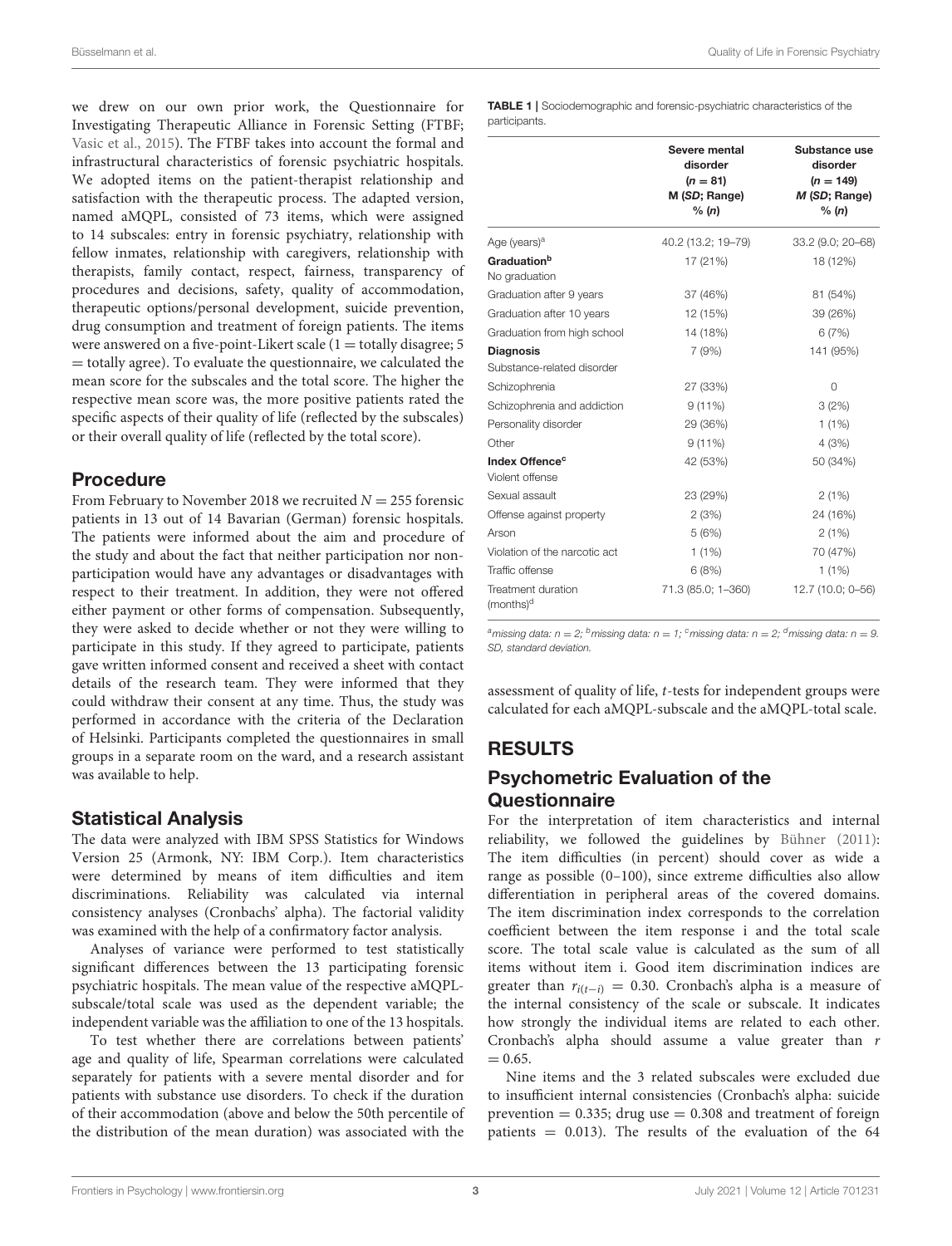we drew on our own prior work, the Questionnaire for Investigating Therapeutic Alliance in Forensic Setting (FTBF; [Vasic et al., 2015\)](#page-7-3). The FTBF takes into account the formal and infrastructural characteristics of forensic psychiatric hospitals. We adopted items on the patient-therapist relationship and satisfaction with the therapeutic process. The adapted version, named aMQPL, consisted of 73 items, which were assigned to 14 subscales: entry in forensic psychiatry, relationship with fellow inmates, relationship with caregivers, relationship with therapists, family contact, respect, fairness, transparency of procedures and decisions, safety, quality of accommodation, therapeutic options/personal development, suicide prevention, drug consumption and treatment of foreign patients. The items were answered on a five-point-Likert scale  $(1 =$  totally disagree; 5  $=$  totally agree). To evaluate the questionnaire, we calculated the mean score for the subscales and the total score. The higher the respective mean score was, the more positive patients rated the specific aspects of their quality of life (reflected by the subscales) or their overall quality of life (reflected by the total score).

## Procedure

From February to November 2018 we recruited  $N = 255$  forensic patients in 13 out of 14 Bavarian (German) forensic hospitals. The patients were informed about the aim and procedure of the study and about the fact that neither participation nor nonparticipation would have any advantages or disadvantages with respect to their treatment. In addition, they were not offered either payment or other forms of compensation. Subsequently, they were asked to decide whether or not they were willing to participate in this study. If they agreed to participate, patients gave written informed consent and received a sheet with contact details of the research team. They were informed that they could withdraw their consent at any time. Thus, the study was performed in accordance with the criteria of the Declaration of Helsinki. Participants completed the questionnaires in small groups in a separate room on the ward, and a research assistant was available to help.

#### Statistical Analysis

The data were analyzed with IBM SPSS Statistics for Windows Version 25 (Armonk, NY: IBM Corp.). Item characteristics were determined by means of item difficulties and item discriminations. Reliability was calculated via internal consistency analyses (Cronbachs' alpha). The factorial validity was examined with the help of a confirmatory factor analysis.

Analyses of variance were performed to test statistically significant differences between the 13 participating forensic psychiatric hospitals. The mean value of the respective aMQPLsubscale/total scale was used as the dependent variable; the independent variable was the affiliation to one of the 13 hospitals.

To test whether there are correlations between patients' age and quality of life, Spearman correlations were calculated separately for patients with a severe mental disorder and for patients with substance use disorders. To check if the duration of their accommodation (above and below the 50th percentile of the distribution of the mean duration) was associated with the

<span id="page-2-0"></span>TABLE 1 | Sociodemographic and forensic-psychiatric characteristics of the participants.

|                                               | Severe mental<br>disorder<br>$(n = 81)$<br>M (SD; Range)<br>% (n) | Substance use<br>disorder<br>$(n = 149)$<br>M (SD; Range)<br>% (n) |
|-----------------------------------------------|-------------------------------------------------------------------|--------------------------------------------------------------------|
| Age (years) <sup>a</sup>                      | 40.2 (13.2; 19-79)                                                | 33.2 (9.0; 20-68)                                                  |
| Graduationb<br>No graduation                  | 17 (21%)                                                          | 18 (12%)                                                           |
| Graduation after 9 years                      | 37 (46%)                                                          | 81 (54%)                                                           |
| Graduation after 10 years                     | 12 (15%)                                                          | 39 (26%)                                                           |
| Graduation from high school                   | 14 (18%)                                                          | 6(7%)                                                              |
| <b>Diagnosis</b>                              | 7(9%)                                                             | 141 (95%)                                                          |
| Substance-related disorder                    |                                                                   |                                                                    |
| Schizophrenia                                 | 27 (33%)                                                          | O                                                                  |
| Schizophrenia and addiction                   | $9(11\%)$                                                         | 3(2%)                                                              |
| Personality disorder                          | 29 (36%)                                                          | $1(1\%)$                                                           |
| Other                                         | $9(11\%)$                                                         | 4(3%)                                                              |
| Index Offence <sup>c</sup><br>Violent offense | 42 (53%)                                                          | 50 (34%)                                                           |
| Sexual assault                                | 23 (29%)                                                          | 2(1%)                                                              |
| Offense against property                      | 2(3%)                                                             | 24 (16%)                                                           |
| Arson                                         | 5(6%)                                                             | 2(1%)                                                              |
| Violation of the narcotic act                 | $1(1\%)$                                                          | 70 (47%)                                                           |
| Traffic offense                               | 6(8%)                                                             | $1(1\%)$                                                           |
| Treatment duration<br>(months) <sup>d</sup>   | 71.3 (85.0; 1-360)                                                | 12.7 (10.0; 0-56)                                                  |

amissing data:  $n = 2$ ; <sup>b</sup>missing data:  $n = 1$ ; <sup>c</sup>missing data:  $n = 2$ ; <sup>d</sup>missing data:  $n = 9$ . SD, standard deviation.

assessment of quality of life, t-tests for independent groups were calculated for each aMQPL-subscale and the aMQPL-total scale.

# RESULTS

## Psychometric Evaluation of the **Questionnaire**

For the interpretation of item characteristics and internal reliability, we followed the guidelines by [Bühner \(2011\)](#page-6-16): The item difficulties (in percent) should cover as wide a range as possible (0–100), since extreme difficulties also allow differentiation in peripheral areas of the covered domains. The item discrimination index corresponds to the correlation coefficient between the item response i and the total scale score. The total scale value is calculated as the sum of all items without item i. Good item discrimination indices are greater than  $r_{i(t-i)} = 0.30$ . Cronbach's alpha is a measure of the internal consistency of the scale or subscale. It indicates how strongly the individual items are related to each other. Cronbach's alpha should assume a value greater than r  $= 0.65.$ 

Nine items and the 3 related subscales were excluded due to insufficient internal consistencies (Cronbach's alpha: suicide prevention  $= 0.335$ ; drug use  $= 0.308$  and treatment of foreign patients  $= 0.013$ ). The results of the evaluation of the 64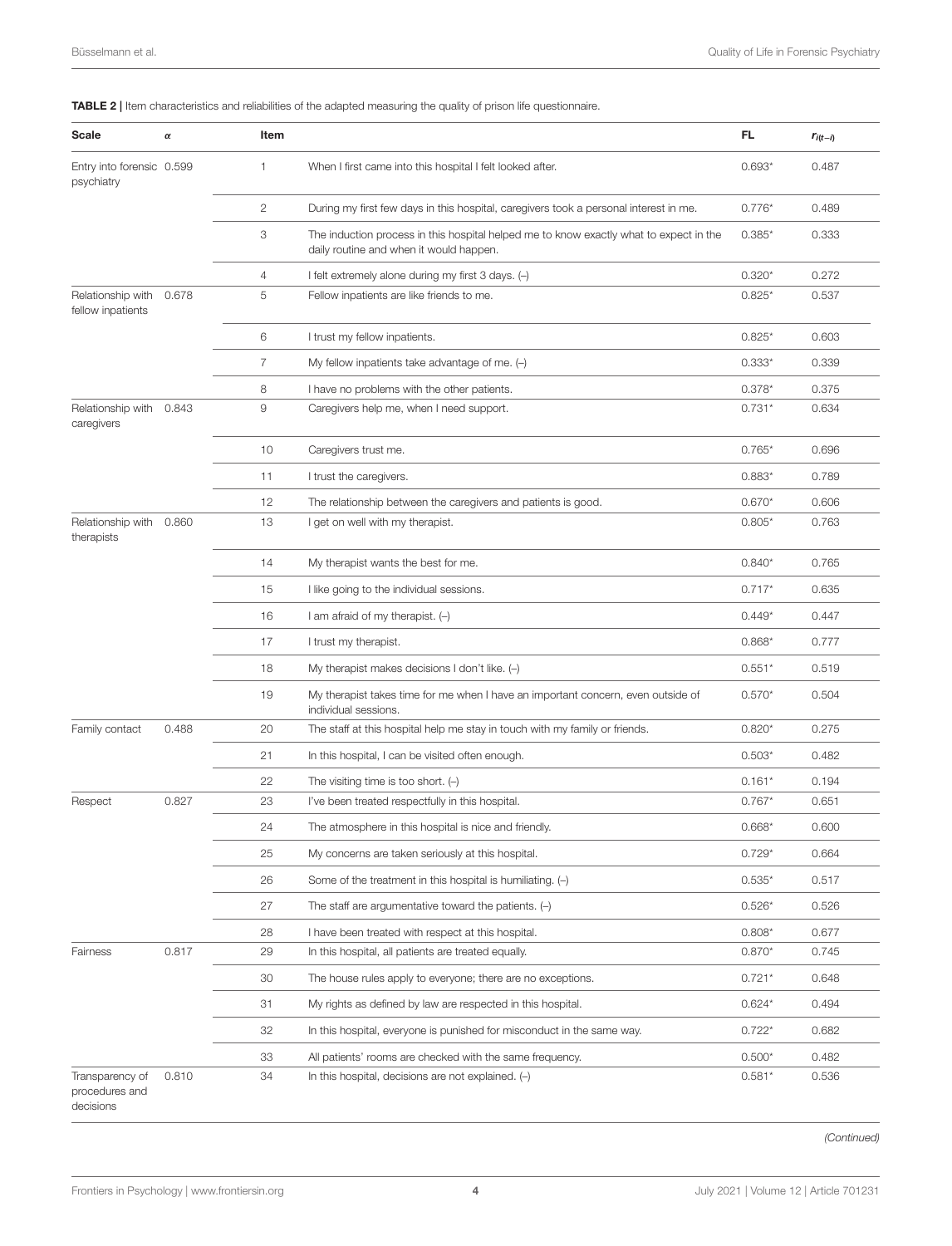<span id="page-3-0"></span>

| Scale                                   | $\alpha$ | Item                   |                                                                                                                                   | FL.      | $r_{i(t-i)}$ |
|-----------------------------------------|----------|------------------------|-----------------------------------------------------------------------------------------------------------------------------------|----------|--------------|
| Entry into forensic 0.599<br>psychiatry |          | $\mathbf{1}$           | When I first came into this hospital I felt looked after.                                                                         | $0.693*$ | 0.487        |
|                                         |          | $\mathbf{2}$           | During my first few days in this hospital, caregivers took a personal interest in me.                                             | $0.776*$ | 0.489        |
|                                         |          | 3                      | The induction process in this hospital helped me to know exactly what to expect in the<br>daily routine and when it would happen. | $0.385*$ | 0.333        |
|                                         |          | $\overline{4}$         | I felt extremely alone during my first 3 days. (-)                                                                                | $0.320*$ | 0.272        |
| Relationship with<br>fellow inpatients  | 0.678    | 5                      | Fellow inpatients are like friends to me.                                                                                         | $0.825*$ | 0.537        |
|                                         |          | 6                      | I trust my fellow inpatients.                                                                                                     | $0.825*$ | 0.603        |
|                                         |          | $\overline{7}$         | My fellow inpatients take advantage of me. $(-)$                                                                                  | $0.333*$ | 0.339        |
|                                         |          | 8                      | I have no problems with the other patients.                                                                                       | $0.378*$ | 0.375        |
| Relationship with<br>caregivers         | 0.843    | $\mathrel{\mathsf{g}}$ | Caregivers help me, when I need support.                                                                                          | $0.731*$ | 0.634        |
|                                         |          | 10                     | Caregivers trust me.                                                                                                              | $0.765*$ | 0.696        |
|                                         |          | 11                     | I trust the caregivers.                                                                                                           | $0.883*$ | 0.789        |
|                                         |          | 12                     | The relationship between the caregivers and patients is good.                                                                     | $0.670*$ | 0.606        |
| Relationship with<br>therapists         | 0.860    | 13                     | I get on well with my therapist.                                                                                                  | $0.805*$ | 0.763        |
|                                         |          | 14                     | My therapist wants the best for me.                                                                                               | $0.840*$ | 0.765        |
|                                         |          | 15                     | I like going to the individual sessions.                                                                                          | $0.717*$ | 0.635        |
|                                         |          | 16                     | I am afraid of my therapist. $(-)$                                                                                                | $0.449*$ | 0.447        |
|                                         |          | 17                     | I trust my therapist.                                                                                                             | $0.868*$ | 0.777        |
|                                         |          | 18                     | My therapist makes decisions I don't like. $(-)$                                                                                  | $0.551*$ | 0.519        |
|                                         |          | 19                     | My therapist takes time for me when I have an important concern, even outside of<br>individual sessions.                          | $0.570*$ | 0.504        |
| Family contact                          | 0.488    | 20                     | The staff at this hospital help me stay in touch with my family or friends.                                                       | $0.820*$ | 0.275        |
|                                         |          | 21                     | In this hospital, I can be visited often enough.                                                                                  | $0.503*$ | 0.482        |
|                                         |          | 22                     | The visiting time is too short. $(-)$                                                                                             | $0.161*$ | 0.194        |
| Respect                                 | 0.827    | 23                     | I've been treated respectfully in this hospital.                                                                                  | $0.767*$ | 0.651        |
|                                         |          | 24                     | The atmosphere in this hospital is nice and friendly.                                                                             | $0.668*$ | 0.600        |
|                                         |          | 25                     | My concerns are taken seriously at this hospital.                                                                                 | $0.729*$ | 0.664        |
|                                         |          | 26                     | Some of the treatment in this hospital is humiliating. $(-)$                                                                      | $0.535*$ | 0.517        |
|                                         |          | 27                     | The staff are argumentative toward the patients. $(-)$                                                                            | $0.526*$ | 0.526        |
|                                         |          | 28                     | I have been treated with respect at this hospital.                                                                                | $0.808*$ | 0.677        |
| Fairness                                | 0.817    | 29                     | In this hospital, all patients are treated equally.                                                                               | $0.870*$ | 0.745        |
|                                         |          | 30                     | The house rules apply to everyone; there are no exceptions.                                                                       | $0.721*$ | 0.648        |
|                                         |          | 31                     | My rights as defined by law are respected in this hospital.                                                                       | $0.624*$ | 0.494        |
|                                         |          | 32                     | In this hospital, everyone is punished for misconduct in the same way.                                                            | $0.722*$ | 0.682        |
|                                         |          | 33                     | All patients' rooms are checked with the same frequency.                                                                          | $0.500*$ | 0.482        |
| Transparency of                         | 0.810    | 34                     | In this hospital, decisions are not explained. $(-)$                                                                              | $0.581*$ | 0.536        |

#### TABLE 2 | Item characteristics and reliabilities of the adapted measuring the quality of prison life questionnaire.

procedures and decisions

(Continued)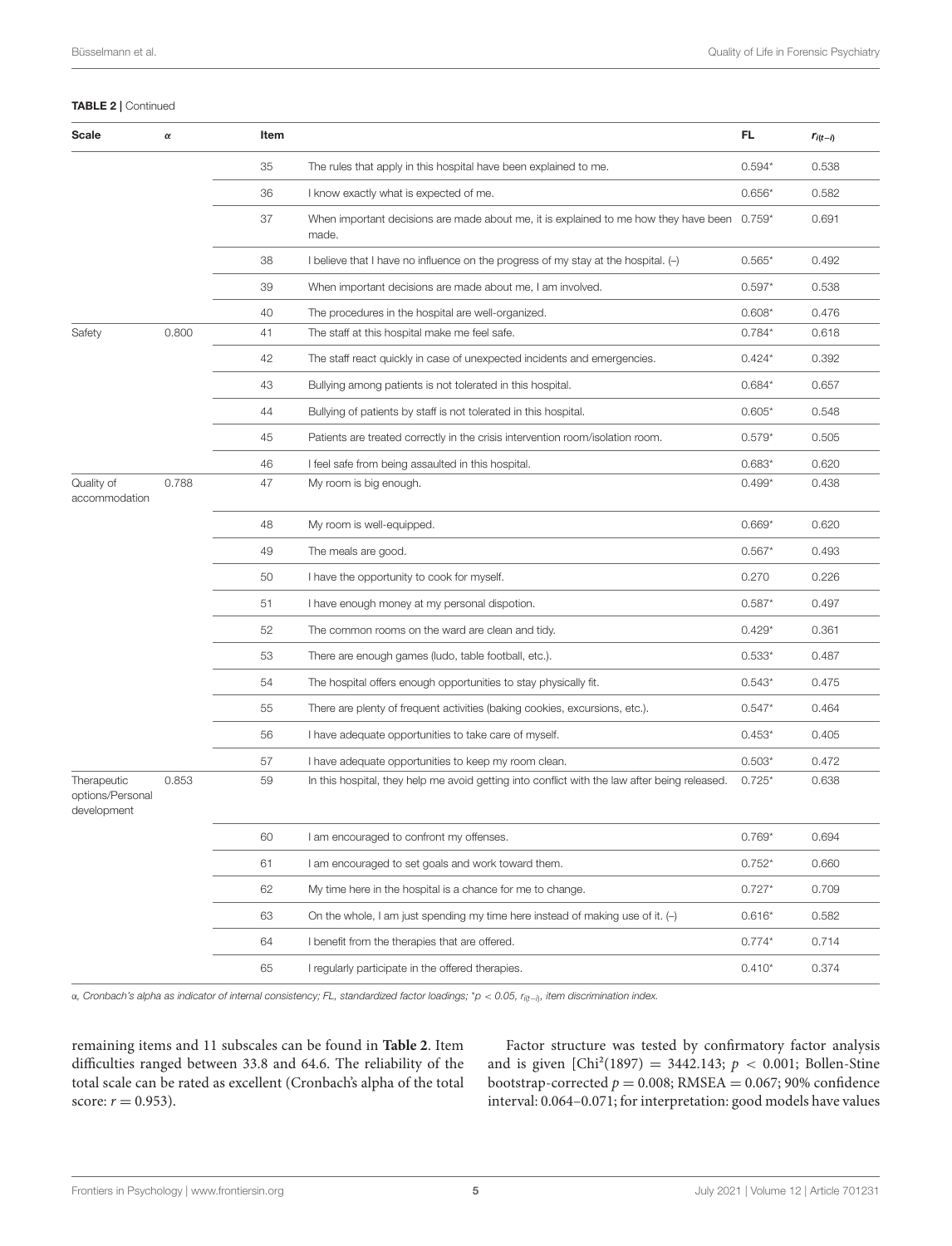#### TABLE 2 | Continued

| Scale                                          | $\pmb{\alpha}$ | Item |                                                                                               | FL       | $r_{i(t-i)}$ |
|------------------------------------------------|----------------|------|-----------------------------------------------------------------------------------------------|----------|--------------|
|                                                |                | 35   | The rules that apply in this hospital have been explained to me.                              | $0.594*$ | 0.538        |
|                                                |                | 36   | I know exactly what is expected of me.                                                        | $0.656*$ | 0.582        |
|                                                |                | 37   | When important decisions are made about me, it is explained to me how they have been<br>made. | $0.759*$ | 0.691        |
|                                                |                | 38   | I believe that I have no influence on the progress of my stay at the hospital. (-)            | $0.565*$ | 0.492        |
|                                                |                | 39   | When important decisions are made about me, I am involved.                                    | $0.597*$ | 0.538        |
|                                                |                | 40   | The procedures in the hospital are well-organized.                                            | $0.608*$ | 0.476        |
| Safety                                         | 0.800          | 41   | The staff at this hospital make me feel safe.                                                 | $0.784*$ | 0.618        |
|                                                |                | 42   | The staff react quickly in case of unexpected incidents and emergencies.                      | $0.424*$ | 0.392        |
|                                                |                | 43   | Bullying among patients is not tolerated in this hospital.                                    | $0.684*$ | 0.657        |
|                                                |                | 44   | Bullying of patients by staff is not tolerated in this hospital.                              | $0.605*$ | 0.548        |
|                                                |                | 45   | Patients are treated correctly in the crisis intervention room/isolation room.                | $0.579*$ | 0.505        |
|                                                |                | 46   | I feel safe from being assaulted in this hospital.                                            | $0.683*$ | 0.620        |
| Quality of<br>accommodation                    | 0.788          | 47   | My room is big enough.                                                                        | $0.499*$ | 0.438        |
|                                                |                | 48   | My room is well-equipped.                                                                     | $0.669*$ | 0.620        |
|                                                |                | 49   | The meals are good.                                                                           | $0.567*$ | 0.493        |
|                                                |                | 50   | I have the opportunity to cook for myself.                                                    | 0.270    | 0.226        |
|                                                |                | 51   | I have enough money at my personal dispotion.                                                 | $0.587*$ | 0.497        |
|                                                |                | 52   | The common rooms on the ward are clean and tidy.                                              | $0.429*$ | 0.361        |
|                                                |                | 53   | There are enough games (ludo, table football, etc.).                                          | $0.533*$ | 0.487        |
|                                                |                | 54   | The hospital offers enough opportunities to stay physically fit.                              | $0.543*$ | 0.475        |
|                                                |                | 55   | There are plenty of frequent activities (baking cookies, excursions, etc.).                   | $0.547*$ | 0.464        |
|                                                |                | 56   | I have adequate opportunities to take care of myself.                                         | $0.453*$ | 0.405        |
|                                                |                | 57   | I have adequate opportunities to keep my room clean.                                          | $0.503*$ | 0.472        |
| Therapeutic<br>options/Personal<br>development | 0.853          | 59   | In this hospital, they help me avoid getting into conflict with the law after being released. | $0.725*$ | 0.638        |
|                                                |                | 60   | I am encouraged to confront my offenses.                                                      | $0.769*$ | 0.694        |
|                                                |                | 61   | I am encouraged to set goals and work toward them.                                            | $0.752*$ | 0.660        |
|                                                |                | 62   | My time here in the hospital is a chance for me to change.                                    | $0.727*$ | 0.709        |
|                                                |                | 63   | On the whole, I am just spending my time here instead of making use of it. $(-)$              | $0.616*$ | 0.582        |
|                                                |                | 64   | I benefit from the therapies that are offered.                                                | $0.774*$ | 0.714        |
|                                                |                | 65   | I regularly participate in the offered therapies.                                             | $0.410*$ | 0.374        |

α, Cronbach's alpha as indicator of internal consistency; FL, standardized factor loadings; \*p < 0.05, r<sub>i(t−i)</sub>, item discrimination index.

remaining items and 11 subscales can be found in **[Table 2](#page-3-0)**. Item difficulties ranged between 33.8 and 64.6. The reliability of the total scale can be rated as excellent (Cronbach's alpha of the total score:  $r = 0.953$ ).

Factor structure was tested by confirmatory factor analysis and is given  $[Chi^2(1897) = 3442.143; p < 0.001; Bollen-Stine$ bootstrap-corrected  $p = 0.008$ ; RMSEA = 0.067; 90% confidence interval: 0.064–0.071; for interpretation: good models have values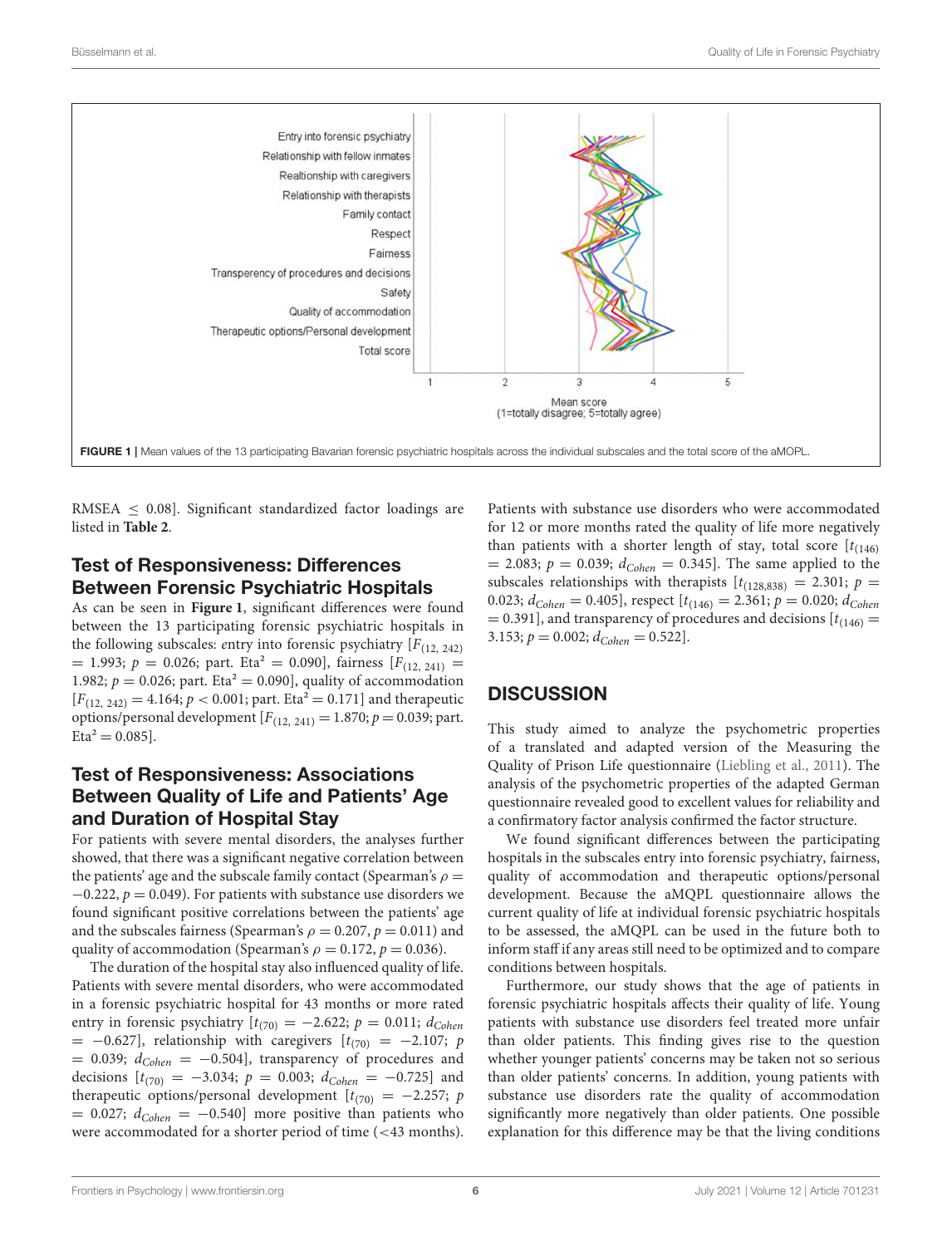

<span id="page-5-0"></span>RMSEA  $\leq$  0.08]. Significant standardized factor loadings are listed in **[Table 2](#page-3-0)**.

## Test of Responsiveness: Differences Between Forensic Psychiatric Hospitals

As can be seen in **[Figure 1](#page-5-0)**, significant differences were found between the 13 participating forensic psychiatric hospitals in the following subscales: entry into forensic psychiatry  $[F_{(12, 242)}]$  $= 1.993; p = 0.026;$  part. Eta<sup>2</sup> = 0.090], fairness [ $F_{(12, 241)}$  = 1.982;  $p = 0.026$ ; part. Eta<sup>2</sup> = 0.090], quality of accommodation  $[F_{(12, 242)} = 4.164; p < 0.001;$  part. Eta<sup>2</sup> = 0.171] and therapeutic options/personal development  $[F(12, 241) = 1.870; p = 0.039;$  part.  $Eta^2 = 0.085$ .

## Test of Responsiveness: Associations Between Quality of Life and Patients' Age and Duration of Hospital Stay

For patients with severe mental disorders, the analyses further showed, that there was a significant negative correlation between the patients' age and the subscale family contact (Spearman's  $\rho =$  $-0.222$ ,  $p = 0.049$ ). For patients with substance use disorders we found significant positive correlations between the patients' age and the subscales fairness (Spearman's  $\rho = 0.207$ ,  $p = 0.011$ ) and quality of accommodation (Spearman's  $\rho = 0.172$ ,  $p = 0.036$ ).

The duration of the hospital stay also influenced quality of life. Patients with severe mental disorders, who were accommodated in a forensic psychiatric hospital for 43 months or more rated entry in forensic psychiatry  $[t_{(70)} = -2.622; p = 0.011; d_{Cohen}$  $=$  -0.627], relationship with caregivers  $[t_{(70)} = -2.107; p$  $= 0.039; d_{Cohen} = -0.504$ , transparency of procedures and decisions  $[t_{(70)} = -3.034; p = 0.003; d_{Cohen} = -0.725]$  and therapeutic options/personal development  $[t_{(70)} = -2.257; p$  $= 0.027$ ;  $d_{Cohen} = -0.540$ ] more positive than patients who were accommodated for a shorter period of time (<43 months). Patients with substance use disorders who were accommodated for 12 or more months rated the quality of life more negatively than patients with a shorter length of stay, total score  $[t_{(146)}]$  $= 2.083; p = 0.039; d_{Cohen} = 0.345$ . The same applied to the subscales relationships with therapists  $[t_{(128,838)} = 2.301; p =$ 0.023;  $d_{Cohen} = 0.405$ , respect  $[t_{(146)} = 2.361; p = 0.020; d_{Cohen}$  $= 0.391$ ], and transparency of procedures and decisions  $[t_{(146)} =$ 3.153;  $p = 0.002$ ;  $d_{Cohen} = 0.522$ ].

## **DISCUSSION**

This study aimed to analyze the psychometric properties of a translated and adapted version of the Measuring the Quality of Prison Life questionnaire [\(Liebling et al., 2011\)](#page-6-2). The analysis of the psychometric properties of the adapted German questionnaire revealed good to excellent values for reliability and a confirmatory factor analysis confirmed the factor structure.

We found significant differences between the participating hospitals in the subscales entry into forensic psychiatry, fairness, quality of accommodation and therapeutic options/personal development. Because the aMQPL questionnaire allows the current quality of life at individual forensic psychiatric hospitals to be assessed, the aMQPL can be used in the future both to inform staff if any areas still need to be optimized and to compare conditions between hospitals.

Furthermore, our study shows that the age of patients in forensic psychiatric hospitals affects their quality of life. Young patients with substance use disorders feel treated more unfair than older patients. This finding gives rise to the question whether younger patients' concerns may be taken not so serious than older patients' concerns. In addition, young patients with substance use disorders rate the quality of accommodation significantly more negatively than older patients. One possible explanation for this difference may be that the living conditions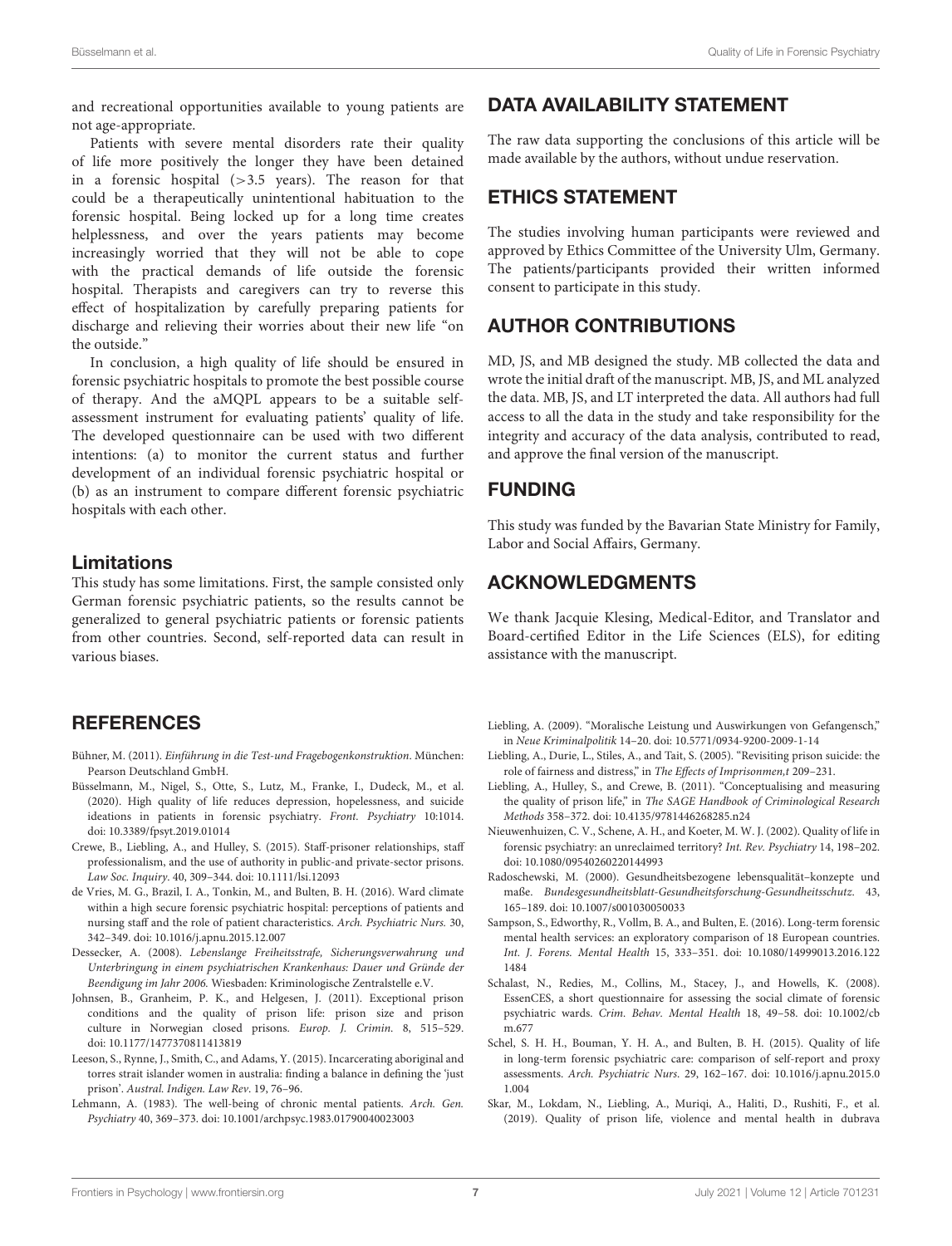and recreational opportunities available to young patients are not age-appropriate.

Patients with severe mental disorders rate their quality of life more positively the longer they have been detained in a forensic hospital  $(>3.5$  years). The reason for that could be a therapeutically unintentional habituation to the forensic hospital. Being locked up for a long time creates helplessness, and over the years patients may become increasingly worried that they will not be able to cope with the practical demands of life outside the forensic hospital. Therapists and caregivers can try to reverse this effect of hospitalization by carefully preparing patients for discharge and relieving their worries about their new life "on the outside."

In conclusion, a high quality of life should be ensured in forensic psychiatric hospitals to promote the best possible course of therapy. And the aMQPL appears to be a suitable selfassessment instrument for evaluating patients' quality of life. The developed questionnaire can be used with two different intentions: (a) to monitor the current status and further development of an individual forensic psychiatric hospital or (b) as an instrument to compare different forensic psychiatric hospitals with each other.

#### Limitations

This study has some limitations. First, the sample consisted only German forensic psychiatric patients, so the results cannot be generalized to general psychiatric patients or forensic patients from other countries. Second, self-reported data can result in various biases.

#### **REFERENCES**

- <span id="page-6-16"></span>Bühner, M. (2011). Einführung in die Test-und Fragebogenkonstruktion. München: Pearson Deutschland GmbH.
- <span id="page-6-15"></span>Büsselmann, M., Nigel, S., Otte, S., Lutz, M., Franke, I., Dudeck, M., et al. (2020). High quality of life reduces depression, hopelessness, and suicide ideations in patients in forensic psychiatry. Front. Psychiatry 10:1014. doi: [10.3389/fpsyt.2019.01014](https://doi.org/10.3389/fpsyt.2019.01014)
- <span id="page-6-6"></span>Crewe, B., Liebling, A., and Hulley, S. (2015). Staff-prisoner relationships, staff professionalism, and the use of authority in public-and private-sector prisons. Law Soc. Inquiry. 40, 309–344. doi: [10.1111/lsi.12093](https://doi.org/10.1111/lsi.12093)
- <span id="page-6-14"></span>de Vries, M. G., Brazil, I. A., Tonkin, M., and Bulten, B. H. (2016). Ward climate within a high secure forensic psychiatric hospital: perceptions of patients and nursing staff and the role of patient characteristics. Arch. Psychiatric Nurs. 30, 342–349. doi: [10.1016/j.apnu.2015.12.007](https://doi.org/10.1016/j.apnu.2015.12.007)
- <span id="page-6-0"></span>Dessecker, A. (2008). Lebenslange Freiheitsstrafe, Sicherungsverwahrung und Unterbringung in einem psychiatrischen Krankenhaus: Dauer und Gründe der Beendigung im Jahr 2006. Wiesbaden: Kriminologische Zentralstelle e.V.
- <span id="page-6-8"></span>Johnsen, B., Granheim, P. K., and Helgesen, J. (2011). Exceptional prison conditions and the quality of prison life: prison size and prison culture in Norwegian closed prisons. Europ. J. Crimin. 8, 515–529. doi: [10.1177/1477370811413819](https://doi.org/10.1177/1477370811413819)
- <span id="page-6-3"></span>Leeson, S., Rynne, J., Smith, C., and Adams, Y. (2015). Incarcerating aboriginal and torres strait islander women in australia: finding a balance in defining the 'just prison'. Austral. Indigen. Law Rev. 19, 76–96.
- <span id="page-6-1"></span>Lehmann, A. (1983). The well-being of chronic mental patients. Arch. Gen. Psychiatry 40, 369–373. doi: [10.1001/archpsyc.1983.01790040023003](https://doi.org/10.1001/archpsyc.1983.01790040023003)

# DATA AVAILABILITY STATEMENT

The raw data supporting the conclusions of this article will be made available by the authors, without undue reservation.

## ETHICS STATEMENT

The studies involving human participants were reviewed and approved by Ethics Committee of the University Ulm, Germany. The patients/participants provided their written informed consent to participate in this study.

# AUTHOR CONTRIBUTIONS

MD, JS, and MB designed the study. MB collected the data and wrote the initial draft of the manuscript. MB, JS, and ML analyzed the data. MB, JS, and LT interpreted the data. All authors had full access to all the data in the study and take responsibility for the integrity and accuracy of the data analysis, contributed to read, and approve the final version of the manuscript.

## FUNDING

This study was funded by the Bavarian State Ministry for Family, Labor and Social Affairs, Germany.

## ACKNOWLEDGMENTS

We thank Jacquie Klesing, Medical-Editor, and Translator and Board-certified Editor in the Life Sciences (ELS), for editing assistance with the manuscript.

- <span id="page-6-5"></span>Liebling, A. (2009). "Moralische Leistung und Auswirkungen von Gefangensch," in Neue Kriminalpolitik 14–20. doi: [10.5771/0934-9200-2009-1-14](https://doi.org/10.5771/0934-9200-2009-1-14)
- <span id="page-6-7"></span>Liebling, A., Durie, L., Stiles, A., and Tait, S. (2005). "Revisiting prison suicide: the role of fairness and distress," in The Effects of Imprisonmen,t 209–231.
- <span id="page-6-2"></span>Liebling, A., Hulley, S., and Crewe, B. (2011). "Conceptualising and measuring the quality of prison life," in The SAGE Handbook of Criminological Research Methods 358–372. doi: [10.4135/9781446268285.n24](https://doi.org/10.4135/9781446268285.n24)
- <span id="page-6-10"></span>Nieuwenhuizen, C. V., Schene, A. H., and Koeter, M. W. J. (2002). Quality of life in forensic psychiatry: an unreclaimed territory? Int. Rev. Psychiatry 14, 198–202. doi: [10.1080/09540260220144993](https://doi.org/10.1080/09540260220144993)
- <span id="page-6-9"></span>Radoschewski, M. (2000). Gesundheitsbezogene lebensqualität–konzepte und maße. Bundesgesundheitsblatt-Gesundheitsforschung-Gesundheitsschutz. 43, 165–189. doi: [10.1007/s001030050033](https://doi.org/10.1007/s001030050033)
- <span id="page-6-12"></span>Sampson, S., Edworthy, R., Vollm, B. A., and Bulten, E. (2016). Long-term forensic mental health services: an exploratory comparison of 18 European countries. Int. J. Forens. Mental Health [15, 333–351. doi: 10.1080/14999013.2016.122](https://doi.org/10.1080/14999013.2016.1221484) 1484
- <span id="page-6-11"></span>Schalast, N., Redies, M., Collins, M., Stacey, J., and Howells, K. (2008). EssenCES, a short questionnaire for assessing the social climate of forensic psychiatric wards. [Crim. Behav. Mental Health](https://doi.org/10.1002/cbm.677) 18, 49–58. doi: 10.1002/cb m.677
- <span id="page-6-13"></span>Schel, S. H. H., Bouman, Y. H. A., and Bulten, B. H. (2015). Quality of life in long-term forensic psychiatric care: comparison of self-report and proxy assessments. Arch. Psychiatric Nurs[. 29, 162–167. doi: 10.1016/j.apnu.2015.0](https://doi.org/10.1016/j.apnu.2015.01.004) 1.004
- <span id="page-6-4"></span>Skar, M., Lokdam, N., Liebling, A., Muriqi, A., Haliti, D., Rushiti, F., et al. (2019). Quality of prison life, violence and mental health in dubrava